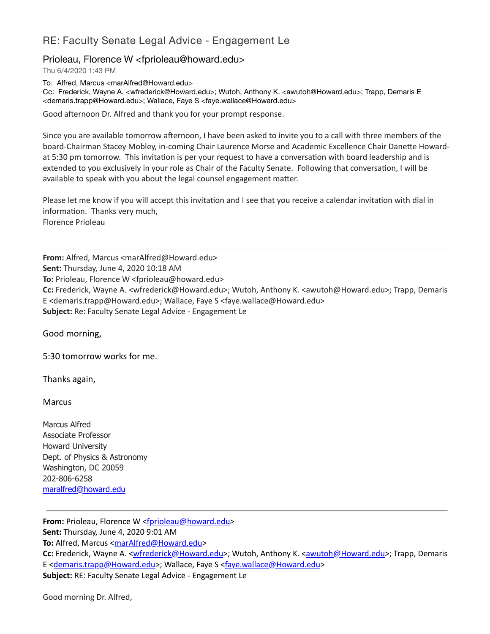## RE: Faculty Senate Legal Advice - Engagement Le

## Prioleau, Florence W <fprioleau@howard.edu>

Thu 6/4/2020 1:43 PM

To: Alfred, Marcus <marAlfred@Howard.edu>

Cc: Frederick, Wayne A. <wfrederick@Howard.edu>; Wutoh, Anthony K. <awutoh@Howard.edu>; Trapp, Demaris E <demaris.trapp@Howard.edu>; Wallace, Faye S <faye.wallace@Howard.edu>

Good afternoon Dr. Alfred and thank you for your prompt response.

Since you are available tomorrow afternoon, I have been asked to invite you to a call with three members of the board-Chairman Stacey Mobley, in-coming Chair Laurence Morse and Academic Excellence Chair Danette Howardat 5:30 pm tomorrow. This invitation is per your request to have a conversation with board leadership and is extended to you exclusively in your role as Chair of the Faculty Senate. Following that conversation, I will be available to speak with you about the legal counsel engagement matter.

Please let me know if you will accept this invitation and I see that you receive a calendar invitation with dial in information. Thanks very much, Florence Prioleau

**From:** Alfred, Marcus <marAlfred@Howard.edu>

**Sent:** Thursday, June 4, 2020 10:18 AM

**To:** Prioleau, Florence W <fprioleau@howard.edu>

**Cc:** Frederick, Wayne A. <wfrederick@Howard.edu>; Wutoh, Anthony K. <awutoh@Howard.edu>; Trapp, Demaris E <demaris.trapp@Howard.edu>; Wallace, Faye S <faye.wallace@Howard.edu> **Subject:** Re: Faculty Senate Legal Advice - Engagement Le

Good morning,

5:30 tomorrow works for me.

Thanks again,

**Marcus** 

Marcus Alfred Associate Professor Howard University Dept. of Physics & Astronomy Washington, DC 20059 202-806-6258 [maralfred@howard.edu](mailto:maralfred@howard.edu)

**From:** Prioleau, Florence W [<fprioleau@howard.edu>](mailto:fprioleau@howard.edu) **Sent:** Thursday, June 4, 2020 9:01 AM **To:** Alfred, Marcus <[marAlfred@Howard.edu](mailto:marAlfred@Howard.edu)> Cc: Frederick, Wayne A. <[wfrederick@Howard.edu](mailto:wfrederick@Howard.edu)>; Wutoh, Anthony K. [<awutoh@Howard.edu](mailto:awutoh@Howard.edu)>; Trapp, Demaris E <[demaris.trapp@Howard.edu>](mailto:demaris.trapp@Howard.edu); Wallace, Faye S [<faye.wallace@Howard.edu](mailto:faye.wallace@Howard.edu)> **Subject:** RE: Faculty Senate Legal Advice - Engagement Le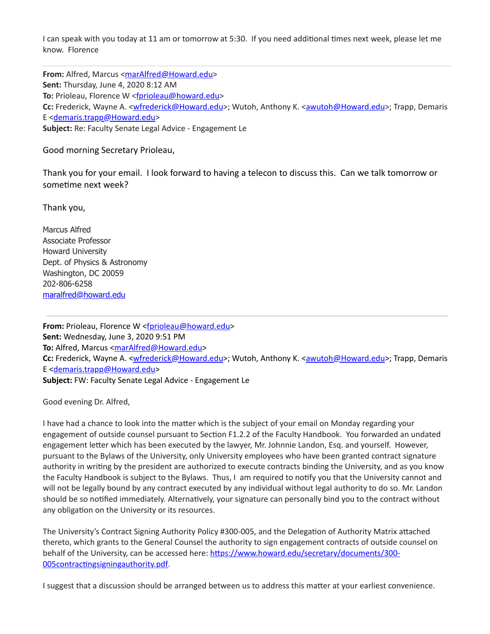I can speak with you today at 11 am or tomorrow at 5:30. If you need additional times next week, please let me know. Florence

**From:** Alfred, Marcus [<marAlfred@Howard.edu](mailto:marAlfred@Howard.edu)> **Sent:** Thursday, June 4, 2020 8:12 AM To: Prioleau, Florence W <[fprioleau@howard.edu](mailto:fprioleau@howard.edu)> **Cc:** Frederick, Wayne A. <[wfrederick@Howard.edu](mailto:wfrederick@Howard.edu)>; Wutoh, Anthony K. [<awutoh@Howard.edu](mailto:awutoh@Howard.edu)>; Trapp, Demaris E <[demaris.trapp@Howard.edu>](mailto:demaris.trapp@Howard.edu) **Subject:** Re: Faculty Senate Legal Advice - Engagement Le

Good morning Secretary Prioleau,

Thank you for your email. I look forward to having a telecon to discuss this. Can we talk tomorrow or sometime next week?

Thank you,

Marcus Alfred Associate Professor Howard University Dept. of Physics & Astronomy Washington, DC 20059 202-806-6258 [maralfred@howard.edu](mailto:maralfred@howard.edu)

From: Prioleau, Florence W [<fprioleau@howard.edu>](mailto:fprioleau@howard.edu) **Sent:** Wednesday, June 3, 2020 9:51 PM To: Alfred, Marcus <[marAlfred@Howard.edu](mailto:marAlfred@Howard.edu)> Cc: Frederick, Wayne A. <[wfrederick@Howard.edu](mailto:wfrederick@Howard.edu)>; Wutoh, Anthony K. [<awutoh@Howard.edu](mailto:awutoh@Howard.edu)>; Trapp, Demaris E <[demaris.trapp@Howard.edu>](mailto:demaris.trapp@Howard.edu) **Subject:** FW: Faculty Senate Legal Advice - Engagement Le

Good evening Dr. Alfred,

I have had a chance to look into the matter which is the subject of your email on Monday regarding your engagement of outside counsel pursuant to Section F1.2.2 of the Faculty Handbook. You forwarded an undated engagement letter which has been executed by the lawyer, Mr. Johnnie Landon, Esq. and yourself. However, pursuant to the Bylaws of the University, only University employees who have been granted contract signature authority in writing by the president are authorized to execute contracts binding the University, and as you know the Faculty Handbook is subject to the Bylaws. Thus, I am required to notify you that the University cannot and will not be legally bound by any contract executed by any individual without legal authority to do so. Mr. Landon should be so notified immediately. Alternatively, your signature can personally bind you to the contract without any obligation on the University or its resources.

The University's Contract Signing Authority Policy #300-005, and the Delegation of Authority Matrix attached thereto, which grants to the General Counsel the authority to sign engagement contracts of outside counsel on behalf of the University, can be accessed here: https://www.howard.edu/secretary/documents/300-005contractingsigningauthority.pdf.

I suggest that a discussion should be arranged between us to address this matter at your earliest convenience.